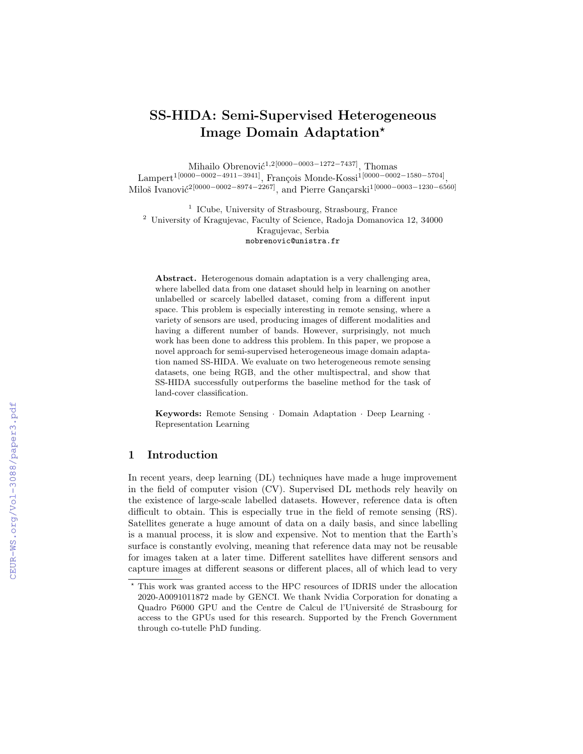# SS-HIDA: Semi-Supervised Heterogeneous Image Domain Adaptation?

Mihailo Obrenović<sup>1,2[0000–0003–1272–7437]</sup>, Thomas

Lampert<sup>1</sup>[0000−0002−4911−3941], François Monde-Kossi<sup>1[0000</sup>−0002−1580−5704] , Miloš Ivanović<sup>2[0000–0002–8974–2267]</sup>, and Pierre Gançarski<sup>1[0000–0003–1230–6560]</sup>

<sup>1</sup> ICube, University of Strasbourg, Strasbourg, France <sup>2</sup> University of Kragujevac, Faculty of Science, Radoja Domanovica 12, 34000 Kragujevac, Serbia mobrenovic@unistra.fr

Abstract. Heterogenous domain adaptation is a very challenging area, where labelled data from one dataset should help in learning on another unlabelled or scarcely labelled dataset, coming from a different input space. This problem is especially interesting in remote sensing, where a variety of sensors are used, producing images of different modalities and having a different number of bands. However, surprisingly, not much work has been done to address this problem. In this paper, we propose a novel approach for semi-supervised heterogeneous image domain adaptation named SS-HIDA. We evaluate on two heterogeneous remote sensing datasets, one being RGB, and the other multispectral, and show that SS-HIDA successfully outperforms the baseline method for the task of land-cover classification.

Keywords: Remote Sensing · Domain Adaptation · Deep Learning · Representation Learning

## 1 Introduction

In recent years, deep learning (DL) techniques have made a huge improvement in the field of computer vision (CV). Supervised DL methods rely heavily on the existence of large-scale labelled datasets. However, reference data is often difficult to obtain. This is especially true in the field of remote sensing (RS). Satellites generate a huge amount of data on a daily basis, and since labelling is a manual process, it is slow and expensive. Not to mention that the Earth's surface is constantly evolving, meaning that reference data may not be reusable for images taken at a later time. Different satellites have different sensors and capture images at different seasons or different places, all of which lead to very

<sup>?</sup> This work was granted access to the HPC resources of IDRIS under the allocation 2020-A0091011872 made by GENCI. We thank Nvidia Corporation for donating a Quadro P6000 GPU and the Centre de Calcul de l'Université de Strasbourg for access to the GPUs used for this research. Supported by the French Government through co-tutelle PhD funding.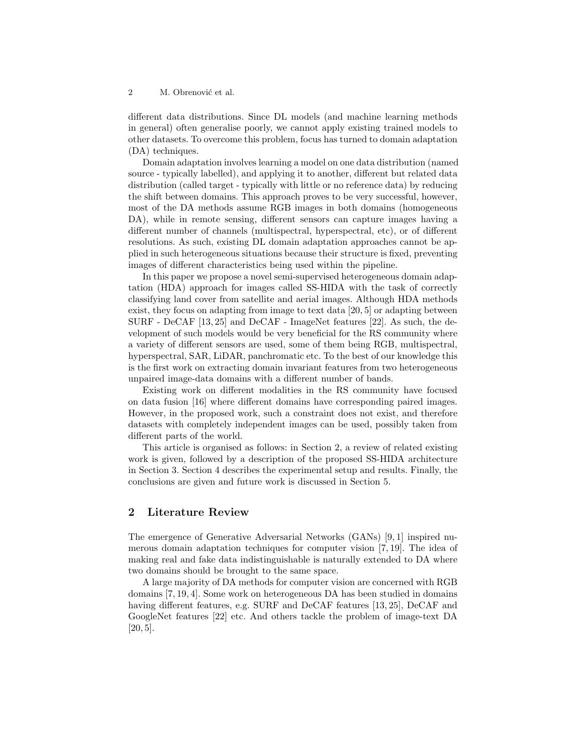2 M. Obrenović et al.

different data distributions. Since DL models (and machine learning methods in general) often generalise poorly, we cannot apply existing trained models to other datasets. To overcome this problem, focus has turned to domain adaptation (DA) techniques.

Domain adaptation involves learning a model on one data distribution (named source - typically labelled), and applying it to another, different but related data distribution (called target - typically with little or no reference data) by reducing the shift between domains. This approach proves to be very successful, however, most of the DA methods assume RGB images in both domains (homogeneous DA), while in remote sensing, different sensors can capture images having a different number of channels (multispectral, hyperspectral, etc), or of different resolutions. As such, existing DL domain adaptation approaches cannot be applied in such heterogeneous situations because their structure is fixed, preventing images of different characteristics being used within the pipeline.

In this paper we propose a novel semi-supervised heterogeneous domain adaptation (HDA) approach for images called SS-HIDA with the task of correctly classifying land cover from satellite and aerial images. Although HDA methods exist, they focus on adapting from image to text data [20, 5] or adapting between SURF - DeCAF [13, 25] and DeCAF - ImageNet features [22]. As such, the development of such models would be very beneficial for the RS community where a variety of different sensors are used, some of them being RGB, multispectral, hyperspectral, SAR, LiDAR, panchromatic etc. To the best of our knowledge this is the first work on extracting domain invariant features from two heterogeneous unpaired image-data domains with a different number of bands.

Existing work on different modalities in the RS community have focused on data fusion [16] where different domains have corresponding paired images. However, in the proposed work, such a constraint does not exist, and therefore datasets with completely independent images can be used, possibly taken from different parts of the world.

This article is organised as follows: in Section 2, a review of related existing work is given, followed by a description of the proposed SS-HIDA architecture in Section 3. Section 4 describes the experimental setup and results. Finally, the conclusions are given and future work is discussed in Section 5.

# 2 Literature Review

The emergence of Generative Adversarial Networks (GANs) [9, 1] inspired numerous domain adaptation techniques for computer vision [7, 19]. The idea of making real and fake data indistinguishable is naturally extended to DA where two domains should be brought to the same space.

A large majority of DA methods for computer vision are concerned with RGB domains [7, 19, 4]. Some work on heterogeneous DA has been studied in domains having different features, e.g. SURF and DeCAF features [13, 25], DeCAF and GoogleNet features [22] etc. And others tackle the problem of image-text DA [20, 5].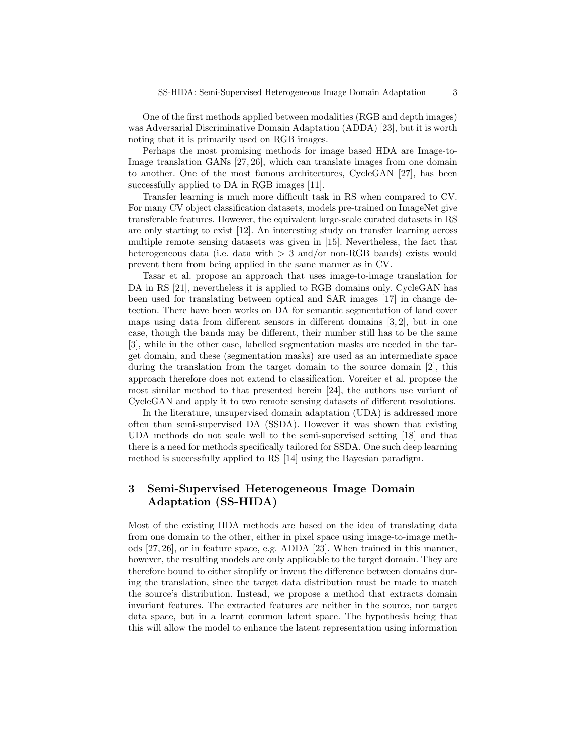One of the first methods applied between modalities (RGB and depth images) was Adversarial Discriminative Domain Adaptation (ADDA) [23], but it is worth noting that it is primarily used on RGB images.

Perhaps the most promising methods for image based HDA are Image-to-Image translation GANs [27, 26], which can translate images from one domain to another. One of the most famous architectures, CycleGAN [27], has been successfully applied to DA in RGB images [11].

Transfer learning is much more difficult task in RS when compared to CV. For many CV object classification datasets, models pre-trained on ImageNet give transferable features. However, the equivalent large-scale curated datasets in RS are only starting to exist [12]. An interesting study on transfer learning across multiple remote sensing datasets was given in [15]. Nevertheless, the fact that heterogeneous data (i.e. data with  $> 3$  and/or non-RGB bands) exists would prevent them from being applied in the same manner as in CV.

Tasar et al. propose an approach that uses image-to-image translation for DA in RS [21], nevertheless it is applied to RGB domains only. CycleGAN has been used for translating between optical and SAR images [17] in change detection. There have been works on DA for semantic segmentation of land cover maps using data from different sensors in different domains [3, 2], but in one case, though the bands may be different, their number still has to be the same [3], while in the other case, labelled segmentation masks are needed in the target domain, and these (segmentation masks) are used as an intermediate space during the translation from the target domain to the source domain [2], this approach therefore does not extend to classification. Voreiter et al. propose the most similar method to that presented herein [24], the authors use variant of CycleGAN and apply it to two remote sensing datasets of different resolutions.

In the literature, unsupervised domain adaptation (UDA) is addressed more often than semi-supervised DA (SSDA). However it was shown that existing UDA methods do not scale well to the semi-supervised setting [18] and that there is a need for methods specifically tailored for SSDA. One such deep learning method is successfully applied to RS [14] using the Bayesian paradigm.

# 3 Semi-Supervised Heterogeneous Image Domain Adaptation (SS-HIDA)

Most of the existing HDA methods are based on the idea of translating data from one domain to the other, either in pixel space using image-to-image methods [27, 26], or in feature space, e.g. ADDA [23]. When trained in this manner, however, the resulting models are only applicable to the target domain. They are therefore bound to either simplify or invent the difference between domains during the translation, since the target data distribution must be made to match the source's distribution. Instead, we propose a method that extracts domain invariant features. The extracted features are neither in the source, nor target data space, but in a learnt common latent space. The hypothesis being that this will allow the model to enhance the latent representation using information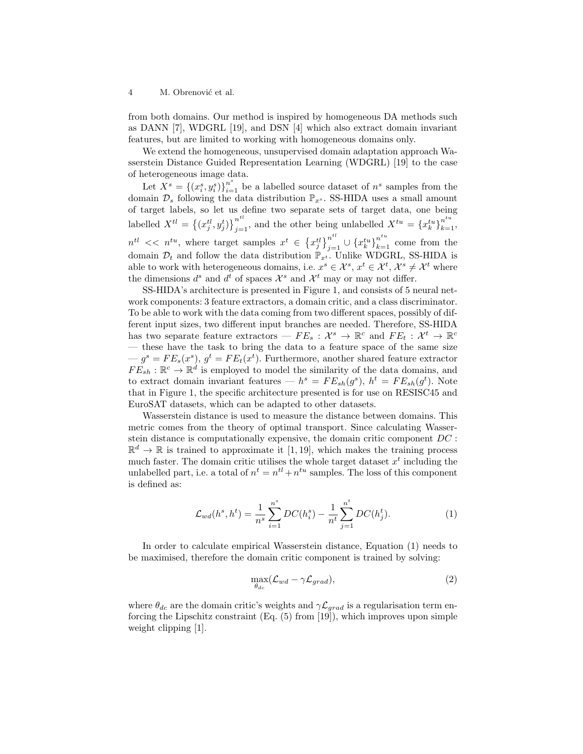4 M. Obrenović et al.

from both domains. Our method is inspired by homogeneous DA methods such as DANN [7], WDGRL [19], and DSN [4] which also extract domain invariant features, but are limited to working with homogeneous domains only.

We extend the homogeneous, unsupervised domain adaptation approach Wasserstein Distance Guided Representation Learning (WDGRL) [19] to the case of heterogeneous image data.

Let  $\overline{X}^s = \{(x_i^s, y_i^s)\}_{i=1}^{n^s}$  be a labelled source dataset of  $n^s$  samples from the domain  $\mathcal{D}_s$  following the data distribution  $\mathbb{P}_{x^s}$ . SS-HIDA uses a small amount of target labels, so let us define two separate sets of target data, one being labelled  $X^{tl} = \{(x_j^{tl}, y_j^t)\}_{j=1}^{n^{tl}}$ , and the other being unlabelled  $X^{tu} = \{x_k^{tu}\}_{k=1}^{n^{tu}}$ ,  $n^{tl} \ll n^{tu}$ , where target samples  $x^t \in \{x_j^{tl}\}_{j=1}^{n^{tl}} \cup \{x_k^{tu}\}_{k=1}^{n^{tu}}$  come from the domain  $\mathcal{D}_t$  and follow the data distribution  $\mathbb{P}_{x^t}$ . Unlike WDGRL, SS-HIDA is able to work with heterogeneous domains, i.e.  $x^s \in \mathcal{X}^s$ ,  $x^t \in \mathcal{X}^t$ ,  $\mathcal{X}^s \neq \mathcal{X}^t$  where the dimensions  $d^s$  and  $d^t$  of spaces  $\mathcal{X}^s$  and  $\mathcal{X}^t$  may or may not differ.

SS-HIDA's architecture is presented in Figure 1, and consists of 5 neural network components: 3 feature extractors, a domain critic, and a class discriminator. To be able to work with the data coming from two different spaces, possibly of different input sizes, two different input branches are needed. Therefore, SS-HIDA has two separate feature extractors  $- F E_s : \mathcal{X}^s \to \mathbb{R}^c$  and  $F E_t : \mathcal{X}^t \to \mathbb{R}^c$ — these have the task to bring the data to a feature space of the same size  $-g<sup>s</sup> = FE<sub>s</sub>(x<sup>s</sup>), g<sup>t</sup> = FE<sub>t</sub>(x<sup>t</sup>).$  Furthermore, another shared feature extractor  $FE_{sh} : \mathbb{R}^c \to \mathbb{R}^d$  is employed to model the similarity of the data domains, and to extract domain invariant features —  $h^s = FE_{sh}(g^s)$ ,  $h^t = FE_{sh}(g^t)$ . Note that in Figure 1, the specific architecture presented is for use on RESISC45 and EuroSAT datasets, which can be adapted to other datasets.

Wasserstein distance is used to measure the distance between domains. This metric comes from the theory of optimal transport. Since calculating Wasserstein distance is computationally expensive, the domain critic component  $DC$ :  $\mathbb{R}^d \to \mathbb{R}$  is trained to approximate it [1, 19], which makes the training process much faster. The domain critic utilises the whole target dataset  $x<sup>t</sup>$  including the unlabelled part, i.e. a total of  $n^t = n^{t} + n^{tu}$  samples. The loss of this component is defined as:

$$
\mathcal{L}_{wd}(h^s, h^t) = \frac{1}{n^s} \sum_{i=1}^{n^s} DC(h_i^s) - \frac{1}{n^t} \sum_{j=1}^{n^t} DC(h_j^t).
$$
 (1)

In order to calculate empirical Wasserstein distance, Equation (1) needs to be maximised, therefore the domain critic component is trained by solving:

$$
\max_{\theta_{dc}} (\mathcal{L}_{wd} - \gamma \mathcal{L}_{grad}), \tag{2}
$$

where  $\theta_{dc}$  are the domain critic's weights and  $\gamma \mathcal{L}_{grad}$  is a regularisation term enforcing the Lipschitz constraint (Eq. (5) from [19]), which improves upon simple weight clipping [1].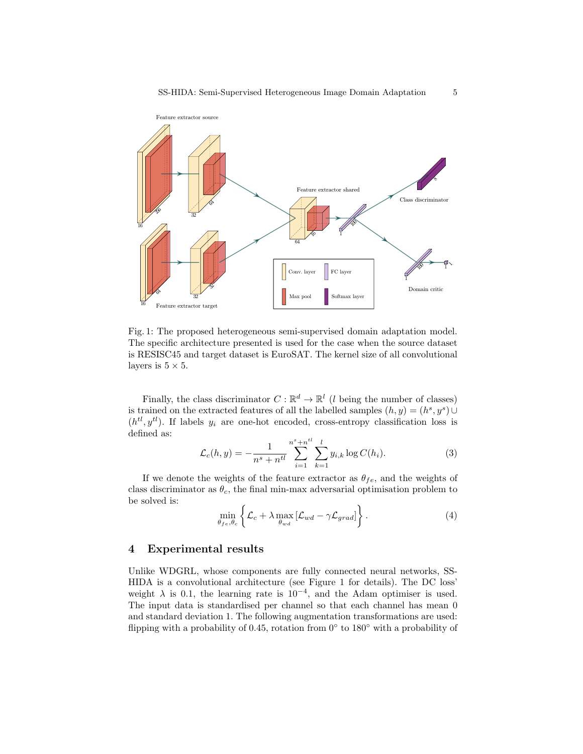

Fig. 1: The proposed heterogeneous semi-supervised domain adaptation model. The specific architecture presented is used for the case when the source dataset is RESISC45 and target dataset is EuroSAT. The kernel size of all convolutional layers is  $5 \times 5$ .

Finally, the class discriminator  $C: \mathbb{R}^d \to \mathbb{R}^l$  (*l* being the number of classes) is trained on the extracted features of all the labelled samples  $(h, y) = (h^s, y^s) \cup$  $(h^{tl}, y^{tl})$ . If labels  $y_i$  are one-hot encoded, cross-entropy classification loss is defined as:

$$
\mathcal{L}_c(h, y) = -\frac{1}{n^s + n^{tl}} \sum_{i=1}^{n^s + n^{tl}} \sum_{k=1}^{l} y_{i,k} \log C(h_i).
$$
 (3)

If we denote the weights of the feature extractor as  $\theta_{fe}$ , and the weights of class discriminator as  $\theta_c$ , the final min-max adversarial optimisation problem to be solved is:

$$
\min_{\theta_{fe}, \theta_c} \left\{ \mathcal{L}_c + \lambda \max_{\theta_{wd}} \left[ \mathcal{L}_{wd} - \gamma \mathcal{L}_{grad} \right] \right\}.
$$
 (4)

# 4 Experimental results

Unlike WDGRL, whose components are fully connected neural networks, SS-HIDA is a convolutional architecture (see Figure 1 for details). The DC loss' weight  $\lambda$  is 0.1, the learning rate is 10<sup>-4</sup>, and the Adam optimiser is used. The input data is standardised per channel so that each channel has mean 0 and standard deviation 1. The following augmentation transformations are used: flipping with a probability of 0.45, rotation from  $0°$  to 180 $°$  with a probability of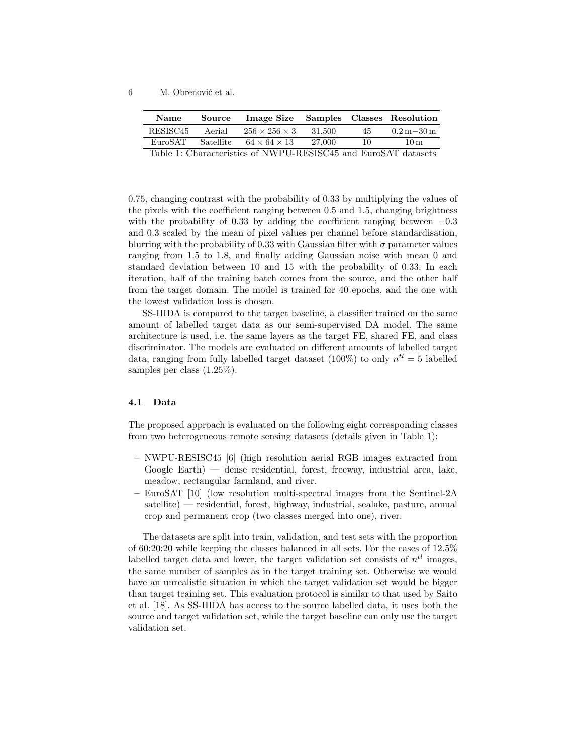6 M. Obrenović et al.

| <b>Name</b>                                                   |        | Source Image Size Samples Classes Resolution |          |    |                                    |
|---------------------------------------------------------------|--------|----------------------------------------------|----------|----|------------------------------------|
| RESISC <sub>45</sub>                                          | Aerial | $256 \times 256 \times 3$                    | - 31.500 | 45 | $0.2\,\mathrm{m} - 30\,\mathrm{m}$ |
| EuroSAT                                                       |        | Satellite $64 \times 64 \times 13$           | 27.000   | 10 | 10 <sub>m</sub>                    |
| Table 1. Characteristics of MWDH DECICOLE and EuroCAT detects |        |                                              |          |    |                                    |

Table 1: Characteristics of NWPU-RESISC45 and EuroSAT datasets

0.75, changing contrast with the probability of 0.33 by multiplying the values of the pixels with the coefficient ranging between 0.5 and 1.5, changing brightness with the probability of 0.33 by adding the coefficient ranging between  $-0.3$ and 0.3 scaled by the mean of pixel values per channel before standardisation, blurring with the probability of 0.33 with Gaussian filter with  $\sigma$  parameter values ranging from 1.5 to 1.8, and finally adding Gaussian noise with mean 0 and standard deviation between 10 and 15 with the probability of 0.33. In each iteration, half of the training batch comes from the source, and the other half from the target domain. The model is trained for 40 epochs, and the one with the lowest validation loss is chosen.

SS-HIDA is compared to the target baseline, a classifier trained on the same amount of labelled target data as our semi-supervised DA model. The same architecture is used, i.e. the same layers as the target FE, shared FE, and class discriminator. The models are evaluated on different amounts of labelled target data, ranging from fully labelled target dataset (100%) to only  $n^{tl} = 5$  labelled samples per class (1.25%).

#### 4.1 Data

The proposed approach is evaluated on the following eight corresponding classes from two heterogeneous remote sensing datasets (details given in Table 1):

- NWPU-RESISC45 [6] (high resolution aerial RGB images extracted from Google Earth) — dense residential, forest, freeway, industrial area, lake, meadow, rectangular farmland, and river.
- EuroSAT [10] (low resolution multi-spectral images from the Sentinel-2A satellite) — residential, forest, highway, industrial, sealake, pasture, annual crop and permanent crop (two classes merged into one), river.

The datasets are split into train, validation, and test sets with the proportion of 60:20:20 while keeping the classes balanced in all sets. For the cases of 12.5% labelled target data and lower, the target validation set consists of  $n<sup>tl</sup>$  images, the same number of samples as in the target training set. Otherwise we would have an unrealistic situation in which the target validation set would be bigger than target training set. This evaluation protocol is similar to that used by Saito et al. [18]. As SS-HIDA has access to the source labelled data, it uses both the source and target validation set, while the target baseline can only use the target validation set.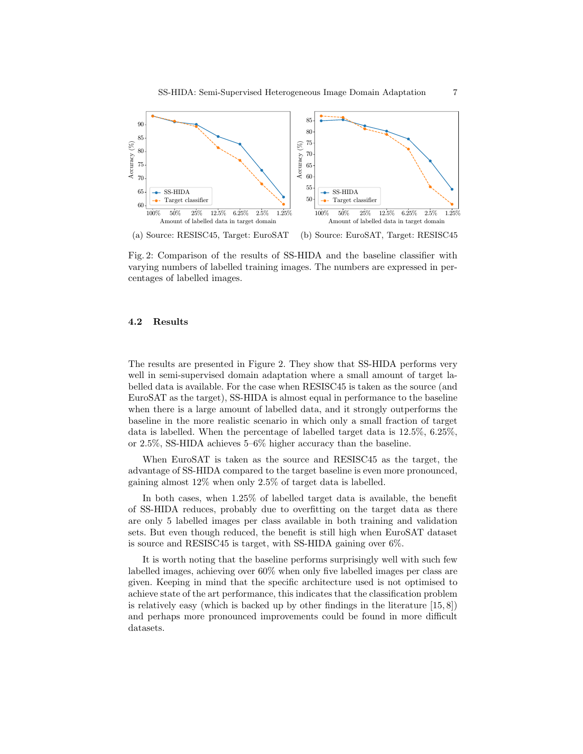

(a) Source: RESISC45, Target: EuroSAT (b) Source: EuroSAT, Target: RESISC45

Fig. 2: Comparison of the results of SS-HIDA and the baseline classifier with varying numbers of labelled training images. The numbers are expressed in percentages of labelled images.

## 4.2 Results

The results are presented in Figure 2. They show that SS-HIDA performs very well in semi-supervised domain adaptation where a small amount of target labelled data is available. For the case when RESISC45 is taken as the source (and EuroSAT as the target), SS-HIDA is almost equal in performance to the baseline when there is a large amount of labelled data, and it strongly outperforms the baseline in the more realistic scenario in which only a small fraction of target data is labelled. When the percentage of labelled target data is 12.5%, 6.25%, or 2.5%, SS-HIDA achieves 5–6% higher accuracy than the baseline.

When EuroSAT is taken as the source and RESISC45 as the target, the advantage of SS-HIDA compared to the target baseline is even more pronounced, gaining almost 12% when only 2.5% of target data is labelled.

In both cases, when 1.25% of labelled target data is available, the benefit of SS-HIDA reduces, probably due to overfitting on the target data as there are only 5 labelled images per class available in both training and validation sets. But even though reduced, the benefit is still high when EuroSAT dataset is source and RESISC45 is target, with SS-HIDA gaining over 6%.

It is worth noting that the baseline performs surprisingly well with such few labelled images, achieving over 60% when only five labelled images per class are given. Keeping in mind that the specific architecture used is not optimised to achieve state of the art performance, this indicates that the classification problem is relatively easy (which is backed up by other findings in the literature  $[15, 8]$ ) and perhaps more pronounced improvements could be found in more difficult datasets.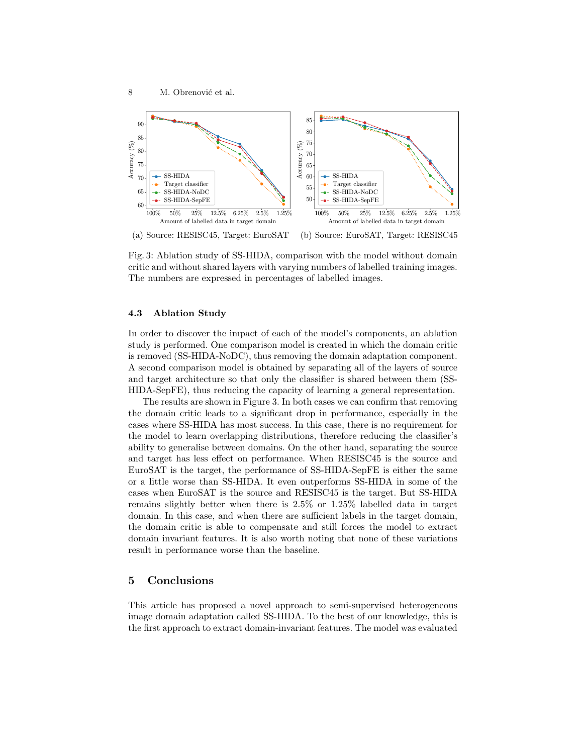

(a) Source: RESISC45, Target: EuroSAT (b) Source: EuroSAT, Target: RESISC45

Fig. 3: Ablation study of SS-HIDA, comparison with the model without domain critic and without shared layers with varying numbers of labelled training images. The numbers are expressed in percentages of labelled images.

## 4.3 Ablation Study

In order to discover the impact of each of the model's components, an ablation study is performed. One comparison model is created in which the domain critic is removed (SS-HIDA-NoDC), thus removing the domain adaptation component. A second comparison model is obtained by separating all of the layers of source and target architecture so that only the classifier is shared between them (SS-HIDA-SepFE), thus reducing the capacity of learning a general representation.

The results are shown in Figure 3. In both cases we can confirm that removing the domain critic leads to a significant drop in performance, especially in the cases where SS-HIDA has most success. In this case, there is no requirement for the model to learn overlapping distributions, therefore reducing the classifier's ability to generalise between domains. On the other hand, separating the source and target has less effect on performance. When RESISC45 is the source and EuroSAT is the target, the performance of SS-HIDA-SepFE is either the same or a little worse than SS-HIDA. It even outperforms SS-HIDA in some of the cases when EuroSAT is the source and RESISC45 is the target. But SS-HIDA remains slightly better when there is 2.5% or 1.25% labelled data in target domain. In this case, and when there are sufficient labels in the target domain, the domain critic is able to compensate and still forces the model to extract domain invariant features. It is also worth noting that none of these variations result in performance worse than the baseline.

## 5 Conclusions

This article has proposed a novel approach to semi-supervised heterogeneous image domain adaptation called SS-HIDA. To the best of our knowledge, this is the first approach to extract domain-invariant features. The model was evaluated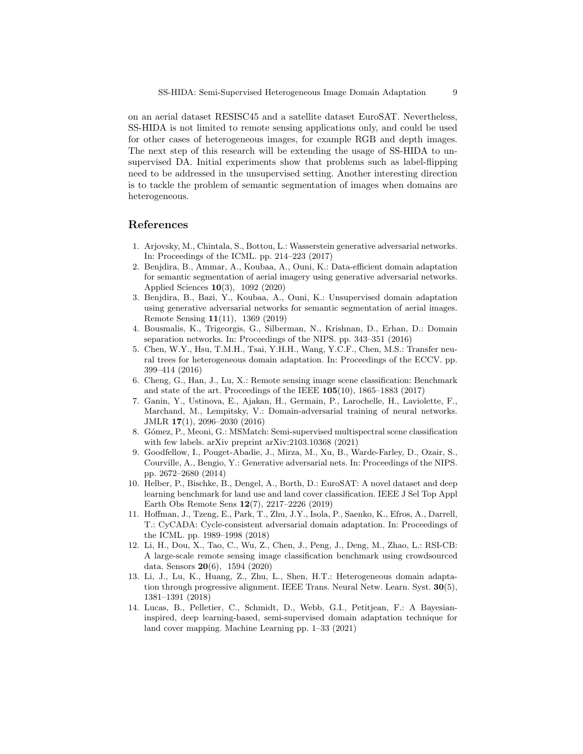on an aerial dataset RESISC45 and a satellite dataset EuroSAT. Nevertheless, SS-HIDA is not limited to remote sensing applications only, and could be used for other cases of heterogeneous images, for example RGB and depth images. The next step of this research will be extending the usage of SS-HIDA to unsupervised DA. Initial experiments show that problems such as label-flipping need to be addressed in the unsupervised setting. Another interesting direction is to tackle the problem of semantic segmentation of images when domains are heterogeneous.

# References

- 1. Arjovsky, M., Chintala, S., Bottou, L.: Wasserstein generative adversarial networks. In: Proceedings of the ICML. pp. 214–223 (2017)
- 2. Benjdira, B., Ammar, A., Koubaa, A., Ouni, K.: Data-efficient domain adaptation for semantic segmentation of aerial imagery using generative adversarial networks. Applied Sciences 10(3), 1092 (2020)
- 3. Benjdira, B., Bazi, Y., Koubaa, A., Ouni, K.: Unsupervised domain adaptation using generative adversarial networks for semantic segmentation of aerial images. Remote Sensing 11(11), 1369 (2019)
- 4. Bousmalis, K., Trigeorgis, G., Silberman, N., Krishnan, D., Erhan, D.: Domain separation networks. In: Proceedings of the NIPS. pp. 343–351 (2016)
- 5. Chen, W.Y., Hsu, T.M.H., Tsai, Y.H.H., Wang, Y.C.F., Chen, M.S.: Transfer neural trees for heterogeneous domain adaptation. In: Proceedings of the ECCV. pp. 399–414 (2016)
- 6. Cheng, G., Han, J., Lu, X.: Remote sensing image scene classification: Benchmark and state of the art. Proceedings of the IEEE 105(10), 1865–1883 (2017)
- 7. Ganin, Y., Ustinova, E., Ajakan, H., Germain, P., Larochelle, H., Laviolette, F., Marchand, M., Lempitsky, V.: Domain-adversarial training of neural networks. JMLR 17(1), 2096–2030 (2016)
- 8. G´omez, P., Meoni, G.: MSMatch: Semi-supervised multispectral scene classification with few labels. arXiv preprint arXiv:2103.10368 (2021)
- 9. Goodfellow, I., Pouget-Abadie, J., Mirza, M., Xu, B., Warde-Farley, D., Ozair, S., Courville, A., Bengio, Y.: Generative adversarial nets. In: Proceedings of the NIPS. pp. 2672–2680 (2014)
- 10. Helber, P., Bischke, B., Dengel, A., Borth, D.: EuroSAT: A novel dataset and deep learning benchmark for land use and land cover classification. IEEE J Sel Top Appl Earth Obs Remote Sens 12(7), 2217–2226 (2019)
- 11. Hoffman, J., Tzeng, E., Park, T., Zhu, J.Y., Isola, P., Saenko, K., Efros, A., Darrell, T.: CyCADA: Cycle-consistent adversarial domain adaptation. In: Proceedings of the ICML. pp. 1989–1998 (2018)
- 12. Li, H., Dou, X., Tao, C., Wu, Z., Chen, J., Peng, J., Deng, M., Zhao, L.: RSI-CB: A large-scale remote sensing image classification benchmark using crowdsourced data. Sensors 20(6), 1594 (2020)
- 13. Li, J., Lu, K., Huang, Z., Zhu, L., Shen, H.T.: Heterogeneous domain adaptation through progressive alignment. IEEE Trans. Neural Netw. Learn. Syst. 30(5), 1381–1391 (2018)
- 14. Lucas, B., Pelletier, C., Schmidt, D., Webb, G.I., Petitjean, F.: A Bayesianinspired, deep learning-based, semi-supervised domain adaptation technique for land cover mapping. Machine Learning pp. 1–33 (2021)